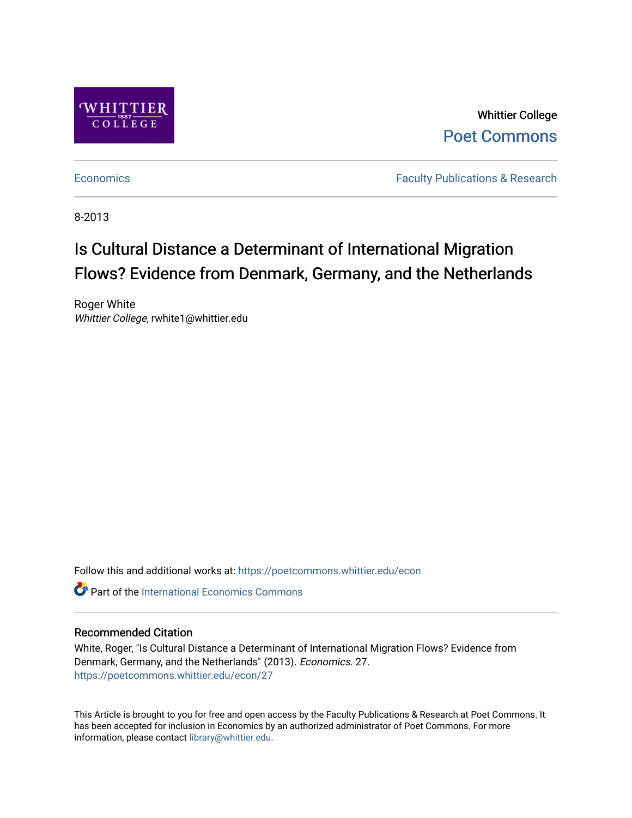

Whittier College [Poet Commons](https://poetcommons.whittier.edu/) 

[Economics](https://poetcommons.whittier.edu/econ) **Faculty Publications & Research** 

8-2013

# Is Cultural Distance a Determinant of International Migration Flows? Evidence from Denmark, Germany, and the Netherlands

Roger White Whittier College, rwhite1@whittier.edu

Follow this and additional works at: [https://poetcommons.whittier.edu/econ](https://poetcommons.whittier.edu/econ?utm_source=poetcommons.whittier.edu%2Fecon%2F27&utm_medium=PDF&utm_campaign=PDFCoverPages)

**C** Part of the International Economics Commons

#### Recommended Citation

White, Roger, "Is Cultural Distance a Determinant of International Migration Flows? Evidence from Denmark, Germany, and the Netherlands" (2013). Economics. 27. [https://poetcommons.whittier.edu/econ/27](https://poetcommons.whittier.edu/econ/27?utm_source=poetcommons.whittier.edu%2Fecon%2F27&utm_medium=PDF&utm_campaign=PDFCoverPages) 

This Article is brought to you for free and open access by the Faculty Publications & Research at Poet Commons. It has been accepted for inclusion in Economics by an authorized administrator of Poet Commons. For more information, please contact [library@whittier.edu.](mailto:library@whittier.edu)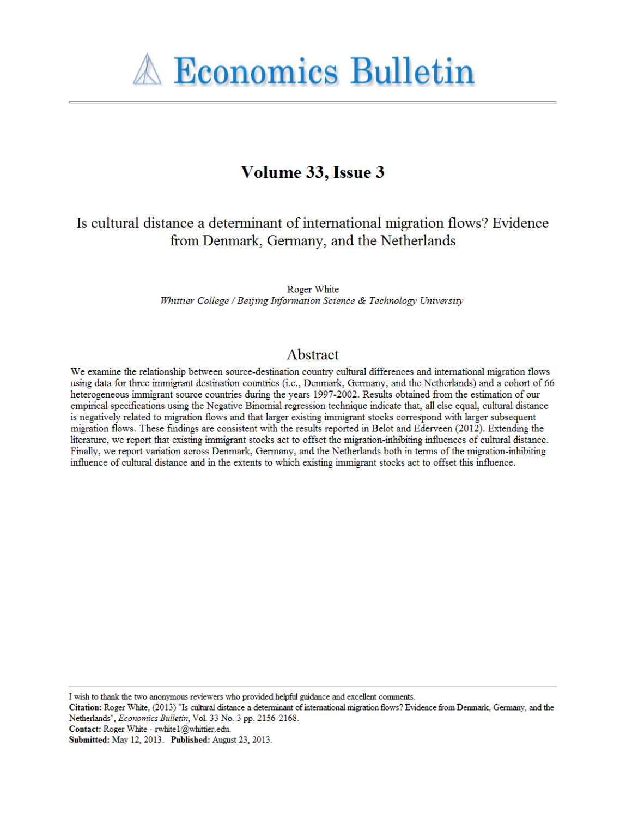

# Volume 33, Issue 3

## Is cultural distance a determinant of international migration flows? Evidence from Denmark, Germany, and the Netherlands

Roger White Whittier College / Beijing Information Science & Technology University

### Abstract

We examine the relationship between source-destination country cultural differences and international migration flows using data for three immigrant destination countries (i.e., Denmark, Germany, and the Netherlands) and a cohort of 66 heterogeneous immigrant source countries during the years 1997-2002. Results obtained from the estimation of our empirical specifications using the Negative Binomial regression technique indicate that, all else equal, cultural distance is negatively related to migration flows and that larger existing immigrant stocks correspond with larger subsequent migration flows. These findings are consistent with the results reported in Belot and Ederveen (2012). Extending the literature, we report that existing immigrant stocks act to offset the migration-inhibiting influences of cultural distance. Finally, we report variation across Denmark, Germany, and the Netherlands both in terms of the migration-inhibiting influence of cultural distance and in the extents to which existing immigrant stocks act to offset this influence.

I wish to thank the two anonymous reviewers who provided helpful guidance and excellent comments.

Citation: Roger White, (2013) "Is cultural distance a determinant of international migration flows? Evidence from Denmark, Germany, and the Netherlands", Economics Bulletin, Vol. 33 No. 3 pp. 2156-2168.

Contact: Roger White - rwhite 1@whittier.edu.

Submitted: May 12, 2013. Published: August 23, 2013.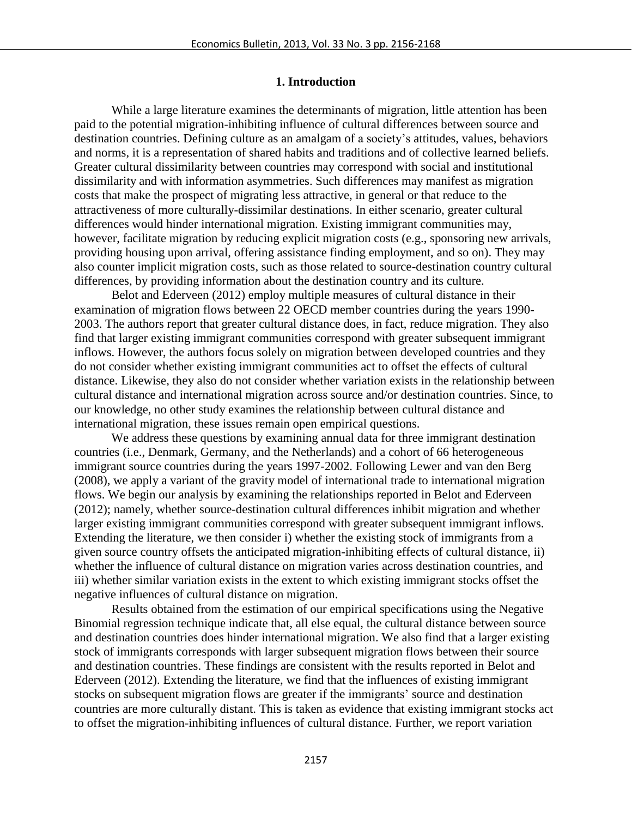#### **1. Introduction**

While a large literature examines the determinants of migration, little attention has been paid to the potential migration-inhibiting influence of cultural differences between source and destination countries. Defining culture as an amalgam of a society's attitudes, values, behaviors and norms, it is a representation of shared habits and traditions and of collective learned beliefs. Greater cultural dissimilarity between countries may correspond with social and institutional dissimilarity and with information asymmetries. Such differences may manifest as migration costs that make the prospect of migrating less attractive, in general or that reduce to the attractiveness of more culturally-dissimilar destinations. In either scenario, greater cultural differences would hinder international migration. Existing immigrant communities may, however, facilitate migration by reducing explicit migration costs (e.g., sponsoring new arrivals, providing housing upon arrival, offering assistance finding employment, and so on). They may also counter implicit migration costs, such as those related to source-destination country cultural differences, by providing information about the destination country and its culture.

Belot and Ederveen (2012) employ multiple measures of cultural distance in their examination of migration flows between 22 OECD member countries during the years 1990- 2003. The authors report that greater cultural distance does, in fact, reduce migration. They also find that larger existing immigrant communities correspond with greater subsequent immigrant inflows. However, the authors focus solely on migration between developed countries and they do not consider whether existing immigrant communities act to offset the effects of cultural distance. Likewise, they also do not consider whether variation exists in the relationship between cultural distance and international migration across source and/or destination countries. Since, to our knowledge, no other study examines the relationship between cultural distance and international migration, these issues remain open empirical questions.

We address these questions by examining annual data for three immigrant destination countries (i.e., Denmark, Germany, and the Netherlands) and a cohort of 66 heterogeneous immigrant source countries during the years 1997-2002. Following Lewer and van den Berg (2008), we apply a variant of the gravity model of international trade to international migration flows. We begin our analysis by examining the relationships reported in Belot and Ederveen (2012); namely, whether source-destination cultural differences inhibit migration and whether larger existing immigrant communities correspond with greater subsequent immigrant inflows. Extending the literature, we then consider i) whether the existing stock of immigrants from a given source country offsets the anticipated migration-inhibiting effects of cultural distance, ii) whether the influence of cultural distance on migration varies across destination countries, and iii) whether similar variation exists in the extent to which existing immigrant stocks offset the negative influences of cultural distance on migration.

Results obtained from the estimation of our empirical specifications using the Negative Binomial regression technique indicate that, all else equal, the cultural distance between source and destination countries does hinder international migration. We also find that a larger existing stock of immigrants corresponds with larger subsequent migration flows between their source and destination countries. These findings are consistent with the results reported in Belot and Ederveen (2012). Extending the literature, we find that the influences of existing immigrant stocks on subsequent migration flows are greater if the immigrants' source and destination countries are more culturally distant. This is taken as evidence that existing immigrant stocks act to offset the migration-inhibiting influences of cultural distance. Further, we report variation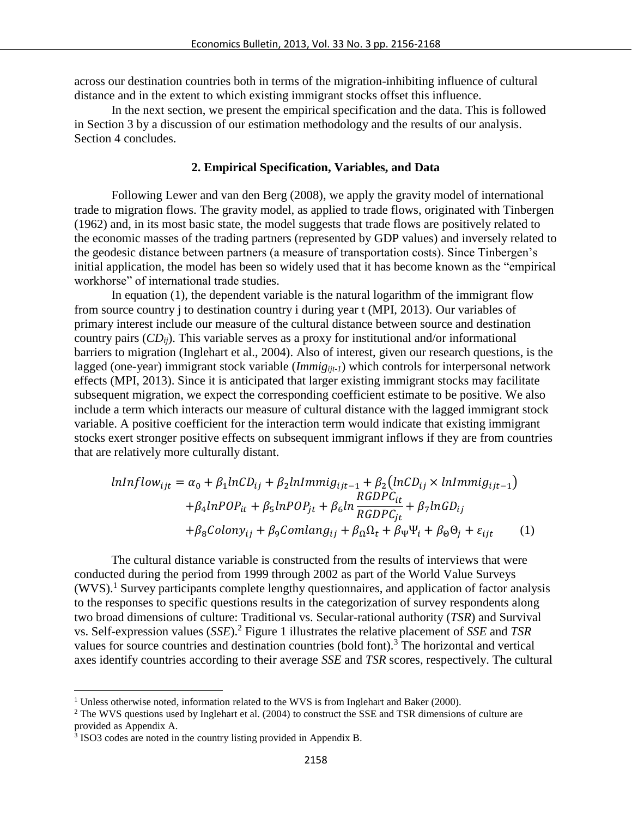across our destination countries both in terms of the migration-inhibiting influence of cultural distance and in the extent to which existing immigrant stocks offset this influence.

In the next section, we present the empirical specification and the data. This is followed in Section 3 by a discussion of our estimation methodology and the results of our analysis. Section 4 concludes.

#### **2. Empirical Specification, Variables, and Data**

Following Lewer and van den Berg (2008), we apply the gravity model of international trade to migration flows. The gravity model, as applied to trade flows, originated with Tinbergen (1962) and, in its most basic state, the model suggests that trade flows are positively related to the economic masses of the trading partners (represented by GDP values) and inversely related to the geodesic distance between partners (a measure of transportation costs). Since Tinbergen's initial application, the model has been so widely used that it has become known as the "empirical workhorse" of international trade studies.

In equation (1), the dependent variable is the natural logarithm of the immigrant flow from source country j to destination country i during year t (MPI, 2013). Our variables of primary interest include our measure of the cultural distance between source and destination country pairs (*CDij*). This variable serves as a proxy for institutional and/or informational barriers to migration (Inglehart et al., 2004). Also of interest, given our research questions, is the lagged (one-year) immigrant stock variable (*Immigijt-1*) which controls for interpersonal network effects (MPI, 2013). Since it is anticipated that larger existing immigrant stocks may facilitate subsequent migration, we expect the corresponding coefficient estimate to be positive. We also include a term which interacts our measure of cultural distance with the lagged immigrant stock variable. A positive coefficient for the interaction term would indicate that existing immigrant stocks exert stronger positive effects on subsequent immigrant inflows if they are from countries that are relatively more culturally distant.

$$
lnInflow_{ijt} = \alpha_0 + \beta_1 lnCD_{ij} + \beta_2 lnImmig_{ijt-1} + \beta_2 (lnCD_{ij} \times lnImmig_{ijt-1})
$$

$$
+ \beta_4 lnPOP_{it} + \beta_5 lnPOP_{jt} + \beta_6 ln \frac{RGDPC_{it}}{RGDPC_{jt}} + \beta_7 lnGD_{ij}
$$

$$
+ \beta_8 Colony_{ij} + \beta_9 Comlang_{ij} + \beta_0 \Omega_t + \beta_\Psi \Psi_i + \beta_\Theta \Theta_j + \varepsilon_{ijt} \tag{1}
$$

The cultural distance variable is constructed from the results of interviews that were conducted during the period from 1999 through 2002 as part of the World Value Surveys  $(WVS)$ .<sup>1</sup> Survey participants complete lengthy questionnaires, and application of factor analysis to the responses to specific questions results in the categorization of survey respondents along two broad dimensions of culture: Traditional vs. Secular-rational authority (*TSR*) and Survival vs. Self-expression values (*SSE*).<sup>2</sup> Figure 1 illustrates the relative placement of *SSE* and *TSR* values for source countries and destination countries (bold font). <sup>3</sup> The horizontal and vertical axes identify countries according to their average *SSE* and *TSR* scores, respectively. The cultural

 $\overline{\phantom{a}}$ 

 $1$  Unless otherwise noted, information related to the WVS is from Inglehart and Baker (2000).

<sup>&</sup>lt;sup>2</sup> The WVS questions used by Inglehart et al. (2004) to construct the SSE and TSR dimensions of culture are provided as Appendix A.

<sup>&</sup>lt;sup>3</sup> ISO3 codes are noted in the country listing provided in Appendix B.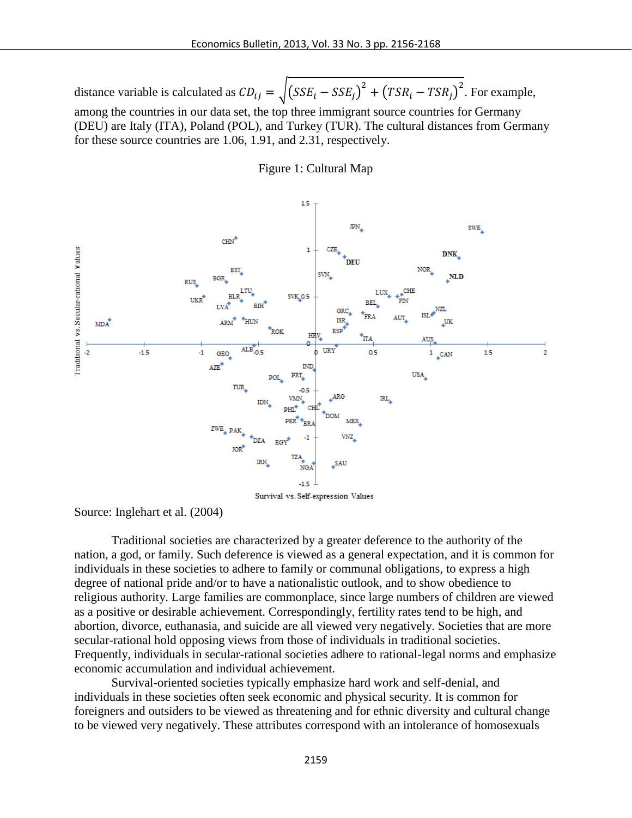distance variable is calculated as  $CD_{ij} = \sqrt{(SSE_i - SSE_j)^2 + (TSR_i - TSR_j)^2}$ . For example, among the countries in our data set, the top three immigrant source countries for Germany (DEU) are Italy (ITA), Poland (POL), and Turkey (TUR). The cultural distances from Germany for these source countries are 1.06, 1.91, and 2.31, respectively.

Figure 1: Cultural Map



Source: Inglehart et al. (2004)

Traditional societies are characterized by a greater deference to the authority of the nation, a god, or family. Such deference is viewed as a general expectation, and it is common for individuals in these societies to adhere to family or communal obligations, to express a high degree of national pride and/or to have a nationalistic outlook, and to show obedience to religious authority. Large families are commonplace, since large numbers of children are viewed as a positive or desirable achievement. Correspondingly, fertility rates tend to be high, and abortion, divorce, euthanasia, and suicide are all viewed very negatively. Societies that are more secular-rational hold opposing views from those of individuals in traditional societies. Frequently, individuals in secular-rational societies adhere to rational-legal norms and emphasize economic accumulation and individual achievement.

Survival-oriented societies typically emphasize hard work and self-denial, and individuals in these societies often seek economic and physical security. It is common for foreigners and outsiders to be viewed as threatening and for ethnic diversity and cultural change to be viewed very negatively. These attributes correspond with an intolerance of homosexuals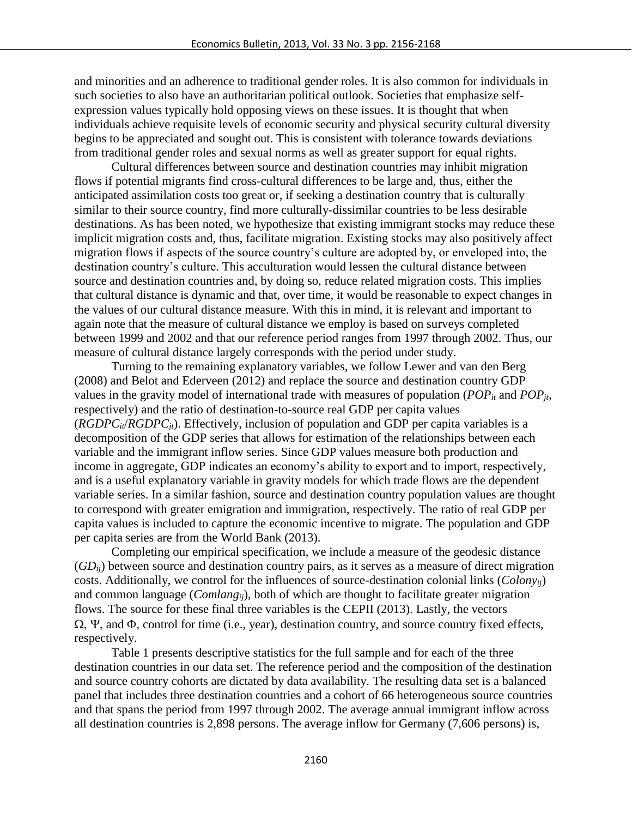and minorities and an adherence to traditional gender roles. It is also common for individuals in such societies to also have an authoritarian political outlook. Societies that emphasize selfexpression values typically hold opposing views on these issues. It is thought that when individuals achieve requisite levels of economic security and physical security cultural diversity begins to be appreciated and sought out. This is consistent with tolerance towards deviations from traditional gender roles and sexual norms as well as greater support for equal rights.

Cultural differences between source and destination countries may inhibit migration flows if potential migrants find cross-cultural differences to be large and, thus, either the anticipated assimilation costs too great or, if seeking a destination country that is culturally similar to their source country, find more culturally-dissimilar countries to be less desirable destinations. As has been noted, we hypothesize that existing immigrant stocks may reduce these implicit migration costs and, thus, facilitate migration. Existing stocks may also positively affect migration flows if aspects of the source country's culture are adopted by, or enveloped into, the destination country's culture. This acculturation would lessen the cultural distance between source and destination countries and, by doing so, reduce related migration costs. This implies that cultural distance is dynamic and that, over time, it would be reasonable to expect changes in the values of our cultural distance measure. With this in mind, it is relevant and important to again note that the measure of cultural distance we employ is based on surveys completed between 1999 and 2002 and that our reference period ranges from 1997 through 2002. Thus, our measure of cultural distance largely corresponds with the period under study.

Turning to the remaining explanatory variables, we follow Lewer and van den Berg (2008) and Belot and Ederveen (2012) and replace the source and destination country GDP values in the gravity model of international trade with measures of population (*POPit* and *POPjt*, respectively) and the ratio of destination-to-source real GDP per capita values (*RGDPCit*/*RGDPCjt*). Effectively, inclusion of population and GDP per capita variables is a decomposition of the GDP series that allows for estimation of the relationships between each variable and the immigrant inflow series. Since GDP values measure both production and income in aggregate, GDP indicates an economy's ability to export and to import, respectively, and is a useful explanatory variable in gravity models for which trade flows are the dependent variable series. In a similar fashion, source and destination country population values are thought to correspond with greater emigration and immigration, respectively. The ratio of real GDP per capita values is included to capture the economic incentive to migrate. The population and GDP per capita series are from the World Bank (2013).

Completing our empirical specification, we include a measure of the geodesic distance (*GDij*) between source and destination country pairs, as it serves as a measure of direct migration costs. Additionally, we control for the influences of source-destination colonial links (*Colonyij*) and common language (*Comlangij*), both of which are thought to facilitate greater migration flows. The source for these final three variables is the CEPII (2013). Lastly, the vectors  $\Omega$ ,  $\Psi$ , and  $\Phi$ , control for time (i.e., year), destination country, and source country fixed effects, respectively.

Table 1 presents descriptive statistics for the full sample and for each of the three destination countries in our data set. The reference period and the composition of the destination and source country cohorts are dictated by data availability. The resulting data set is a balanced panel that includes three destination countries and a cohort of 66 heterogeneous source countries and that spans the period from 1997 through 2002. The average annual immigrant inflow across all destination countries is 2,898 persons. The average inflow for Germany (7,606 persons) is,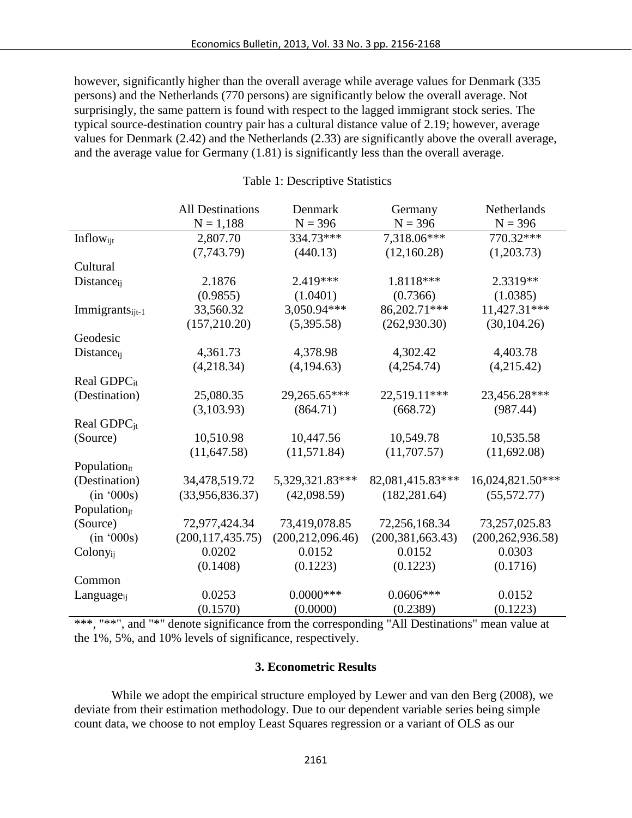however, significantly higher than the overall average while average values for Denmark (335 persons) and the Netherlands (770 persons) are significantly below the overall average. Not surprisingly, the same pattern is found with respect to the lagged immigrant stock series. The typical source-destination country pair has a cultural distance value of 2.19; however, average values for Denmark (2.42) and the Netherlands (2.33) are significantly above the overall average, and the average value for Germany (1.81) is significantly less than the overall average.

|                             | <b>All Destinations</b> | Denmark            | Germany            | Netherlands        |
|-----------------------------|-------------------------|--------------------|--------------------|--------------------|
|                             | $N = 1,188$             | $N = 396$          | $N = 396$          | $N = 396$          |
| Inflowijt                   | 2,807.70                | 334.73***          | 7,318.06***        | 770.32***          |
|                             | (7,743.79)              | (440.13)           | (12,160.28)        | (1,203.73)         |
| Cultural                    |                         |                    |                    |                    |
| Distance <sub>ij</sub>      | 2.1876                  | 2.419***           | 1.8118***          | 2.3319**           |
|                             | (0.9855)                | (1.0401)           | (0.7366)           | (1.0385)           |
| Immigrants <sub>ijt-1</sub> | 33,560.32               | 3,050.94***        | 86,202.71***       | 11,427.31***       |
|                             | (157, 210.20)           | (5,395.58)         | (262,930.30)       | (30, 104.26)       |
| Geodesic                    |                         |                    |                    |                    |
| $Distance_{ii}$             | 4,361.73                | 4,378.98           | 4,302.42           | 4,403.78           |
|                             | (4,218.34)              | (4,194.63)         | (4,254.74)         | (4,215.42)         |
| Real GDPC <sub>it</sub>     |                         |                    |                    |                    |
| (Destination)               | 25,080.35               | 29,265.65***       | 22,519.11***       | 23,456.28***       |
|                             | (3,103.93)              | (864.71)           | (668.72)           | (987.44)           |
| Real GDPC <sub>jt</sub>     |                         |                    |                    |                    |
| (Source)                    | 10,510.98               | 10,447.56          | 10,549.78          | 10,535.58          |
|                             | (11, 647.58)            | (11,571.84)        | (11,707.57)        | (11,692.08)        |
| Populationit                |                         |                    |                    |                    |
| (Destination)               | 34,478,519.72           | 5,329,321.83***    | 82,081,415.83***   | 16,024,821.50***   |
| (in '000s)                  | (33,956,836.37)         | (42,098.59)        | (182, 281.64)      | (55,572.77)        |
| Population <sub>it</sub>    |                         |                    |                    |                    |
| (Source)                    | 72,977,424.34           | 73,419,078.85      | 72,256,168.34      | 73,257,025.83      |
| (in '000s)                  | (200, 117, 435.75)      | (200, 212, 096.46) | (200, 381, 663.43) | (200, 262, 936.58) |
| Colony <sub>ij</sub>        | 0.0202                  | 0.0152             | 0.0152             | 0.0303             |
|                             | (0.1408)                | (0.1223)           | (0.1223)           | (0.1716)           |
| Common                      |                         |                    |                    |                    |
| Language <sub>ii</sub>      | 0.0253                  | $0.0000$ ***       | $0.0606***$        | 0.0152             |
|                             | (0.1570)                | (0.0000)           | (0.2389)           | (0.1223)           |

#### Table 1: Descriptive Statistics

\*\*\*, "\*\*", and "\*" denote significance from the corresponding "All Destinations" mean value at the 1%, 5%, and 10% levels of significance, respectively.

#### **3. Econometric Results**

While we adopt the empirical structure employed by Lewer and van den Berg (2008), we deviate from their estimation methodology. Due to our dependent variable series being simple count data, we choose to not employ Least Squares regression or a variant of OLS as our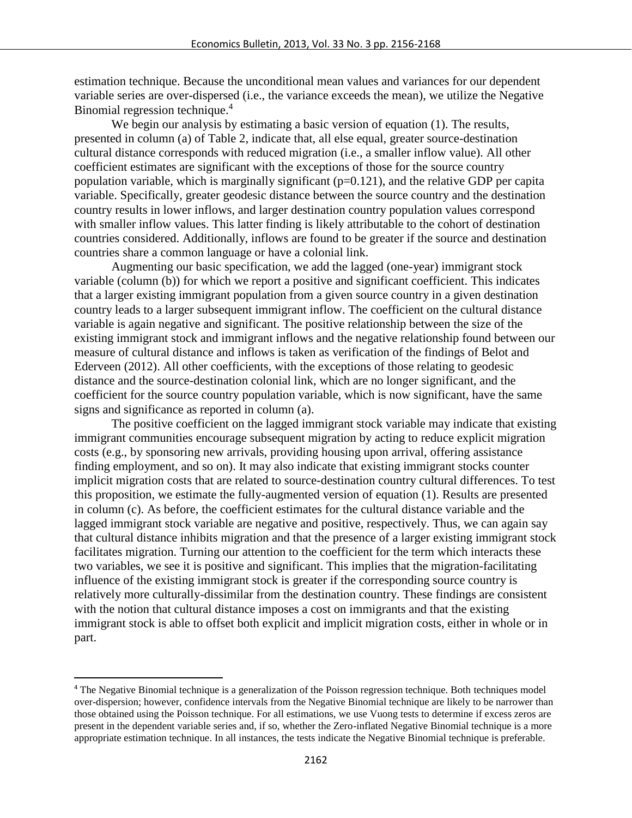estimation technique. Because the unconditional mean values and variances for our dependent variable series are over-dispersed (i.e., the variance exceeds the mean), we utilize the Negative Binomial regression technique.<sup>4</sup>

We begin our analysis by estimating a basic version of equation (1). The results, presented in column (a) of Table 2, indicate that, all else equal, greater source-destination cultural distance corresponds with reduced migration (i.e., a smaller inflow value). All other coefficient estimates are significant with the exceptions of those for the source country population variable, which is marginally significant (p=0.121), and the relative GDP per capita variable. Specifically, greater geodesic distance between the source country and the destination country results in lower inflows, and larger destination country population values correspond with smaller inflow values. This latter finding is likely attributable to the cohort of destination countries considered. Additionally, inflows are found to be greater if the source and destination countries share a common language or have a colonial link.

Augmenting our basic specification, we add the lagged (one-year) immigrant stock variable (column (b)) for which we report a positive and significant coefficient. This indicates that a larger existing immigrant population from a given source country in a given destination country leads to a larger subsequent immigrant inflow. The coefficient on the cultural distance variable is again negative and significant. The positive relationship between the size of the existing immigrant stock and immigrant inflows and the negative relationship found between our measure of cultural distance and inflows is taken as verification of the findings of Belot and Ederveen (2012). All other coefficients, with the exceptions of those relating to geodesic distance and the source-destination colonial link, which are no longer significant, and the coefficient for the source country population variable, which is now significant, have the same signs and significance as reported in column (a).

The positive coefficient on the lagged immigrant stock variable may indicate that existing immigrant communities encourage subsequent migration by acting to reduce explicit migration costs (e.g., by sponsoring new arrivals, providing housing upon arrival, offering assistance finding employment, and so on). It may also indicate that existing immigrant stocks counter implicit migration costs that are related to source-destination country cultural differences. To test this proposition, we estimate the fully-augmented version of equation (1). Results are presented in column (c). As before, the coefficient estimates for the cultural distance variable and the lagged immigrant stock variable are negative and positive, respectively. Thus, we can again say that cultural distance inhibits migration and that the presence of a larger existing immigrant stock facilitates migration. Turning our attention to the coefficient for the term which interacts these two variables, we see it is positive and significant. This implies that the migration-facilitating influence of the existing immigrant stock is greater if the corresponding source country is relatively more culturally-dissimilar from the destination country. These findings are consistent with the notion that cultural distance imposes a cost on immigrants and that the existing immigrant stock is able to offset both explicit and implicit migration costs, either in whole or in part.

 $\overline{a}$ 

<sup>4</sup> The Negative Binomial technique is a generalization of the Poisson regression technique. Both techniques model over-dispersion; however, confidence intervals from the Negative Binomial technique are likely to be narrower than those obtained using the Poisson technique. For all estimations, we use Vuong tests to determine if excess zeros are present in the dependent variable series and, if so, whether the Zero-inflated Negative Binomial technique is a more appropriate estimation technique. In all instances, the tests indicate the Negative Binomial technique is preferable.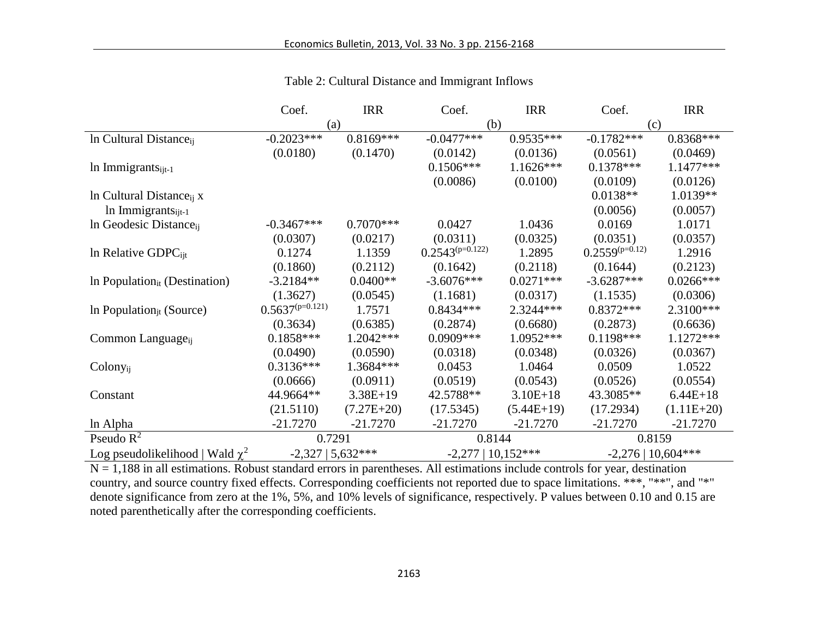|                                      | Coef.                | <b>IRR</b>   | Coef.                | <b>IRR</b>   | Coef.                | <b>IRR</b>   |
|--------------------------------------|----------------------|--------------|----------------------|--------------|----------------------|--------------|
|                                      | (a)                  |              | (b)                  |              | (c)                  |              |
| In Cultural Distance <sub>ii</sub>   | $-0.2023***$         | $0.8169***$  | $-0.0477***$         | $0.9535***$  | $-0.1782***$         | $0.8368***$  |
|                                      | (0.0180)             | (0.1470)     | (0.0142)             | (0.0136)     | (0.0561)             | (0.0469)     |
| $ln$ Immigrants <sub>ijt-1</sub>     |                      |              | $0.1506***$          | $1.1626***$  | $0.1378***$          | 1.1477***    |
|                                      |                      |              | (0.0086)             | (0.0100)     | (0.0109)             | (0.0126)     |
| In Cultural Distance <sub>ii</sub> x |                      |              |                      |              | $0.0138**$           | 1.0139**     |
| In Immigrants $_{i t-1}$             |                      |              |                      |              | (0.0056)             | (0.0057)     |
| In Geodesic Distance <sub>ii</sub>   | $-0.3467***$         | $0.7070***$  | 0.0427               | 1.0436       | 0.0169               | 1.0171       |
|                                      | (0.0307)             | (0.0217)     | (0.0311)             | (0.0325)     | (0.0351)             | (0.0357)     |
| In Relative GDPC <sub>ijt</sub>      | 0.1274               | 1.1359       | $0.2543^{(p=0.122)}$ | 1.2895       | $0.2559^{(p=0.12)}$  | 1.2916       |
|                                      | (0.1860)             | (0.2112)     | (0.1642)             | (0.2118)     | (0.1644)             | (0.2123)     |
| In Population $_{it}$ (Destination)  | $-3.2184**$          | $0.0400**$   | $-3.6076***$         | $0.0271***$  | $-3.6287***$         | $0.0266***$  |
|                                      | (1.3627)             | (0.0545)     | (1.1681)             | (0.0317)     | (1.1535)             | (0.0306)     |
| In Population $_{it}$ (Source)       | $0.5637^{(p=0.121)}$ | 1.7571       | $0.8434***$          | 2.3244***    | $0.8372***$          | 2.3100***    |
|                                      | (0.3634)             | (0.6385)     | (0.2874)             | (0.6680)     | (0.2873)             | (0.6636)     |
| Common Language <sub>ij</sub>        | $0.1858***$          | 1.2042***    | $0.0909***$          | 1.0952***    | $0.1198***$          | 1.1272***    |
|                                      | (0.0490)             | (0.0590)     | (0.0318)             | (0.0348)     | (0.0326)             | (0.0367)     |
| Colony <sub>ii</sub>                 | $0.3136***$          | 1.3684***    | 0.0453               | 1.0464       | 0.0509               | 1.0522       |
|                                      | (0.0666)             | (0.0911)     | (0.0519)             | (0.0543)     | (0.0526)             | (0.0554)     |
| Constant                             | 44.9664**            | $3.38E+19$   | 42.5788**            | $3.10E + 18$ | 43.3085**            | $6.44E+18$   |
|                                      | (21.5110)            | $(7.27E+20)$ | (17.5345)            | $(5.44E+19)$ | (17.2934)            | $(1.11E+20)$ |
| ln Alpha                             | $-21.7270$           | $-21.7270$   | $-21.7270$           | $-21.7270$   | $-21.7270$           | $-21.7270$   |
| Pseudo $R^2$                         | 0.7291               |              | 0.8144               |              | 0.8159               |              |
| Log pseudolikelihood   Wald $\chi^2$ | $-2,327$   5,632***  |              | $-2,277$   10,152*** |              | $-2,276$   10,604*** |              |

Table 2: Cultural Distance and Immigrant Inflows

 $N = 1,188$  in all estimations. Robust standard errors in parentheses. All estimations include controls for year, destination country, and source country fixed effects. Corresponding coefficients not reported due to space limitations. \*\*\*, "\*\*", and "\*" denote significance from zero at the 1%, 5%, and 10% levels of significance, respectively. P values between 0.10 and 0.15 are noted parenthetically after the corresponding coefficients.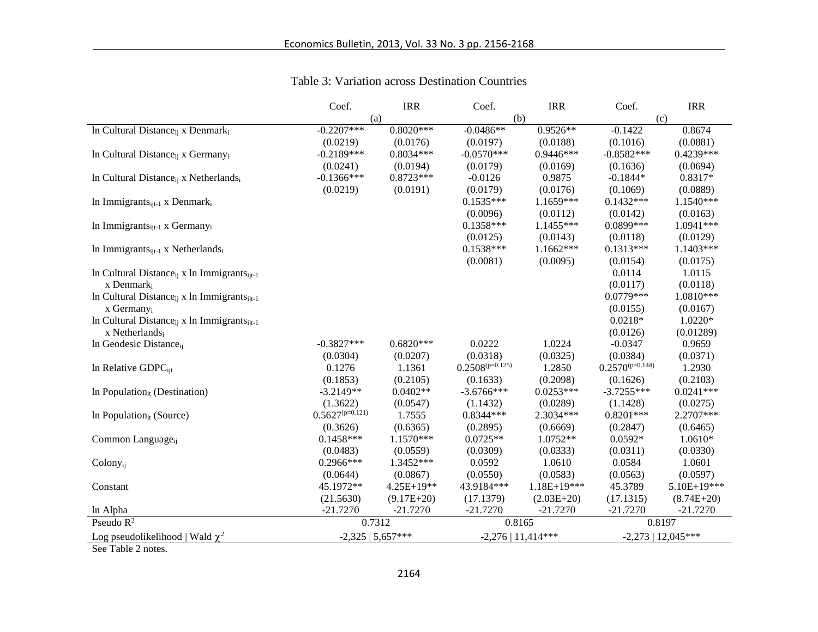|                                                                     | Coef.                | <b>IRR</b>   | Coef.                | <b>IRR</b>    | Coef.                | <b>IRR</b>           |
|---------------------------------------------------------------------|----------------------|--------------|----------------------|---------------|----------------------|----------------------|
|                                                                     | (a)                  |              | (b)                  |               |                      | (c)                  |
| In Cultural Distance <sub>ii</sub> x Denmark <sub>i</sub>           | $-0.2207***$         | $0.8020***$  | $-0.0486**$          | $0.9526**$    | $-0.1422$            | 0.8674               |
|                                                                     | (0.0219)             | (0.0176)     | (0.0197)             | (0.0188)      | (0.1016)             | (0.0881)             |
| In Cultural Distance <sub>ii</sub> x Germany <sub>i</sub>           | $-0.2189***$         | $0.8034***$  | $-0.0570***$         | $0.9446***$   | $-0.8582***$         | 0.4239***            |
|                                                                     | (0.0241)             | (0.0194)     | (0.0179)             | (0.0169)      | (0.1636)             | (0.0694)             |
| In Cultural Distance <sub>ii</sub> x Netherlandsi                   | $-0.1366***$         | $0.8723***$  | $-0.0126$            | 0.9875        | $-0.1844*$           | 0.8317*              |
|                                                                     | (0.0219)             | (0.0191)     | (0.0179)             | (0.0176)      | (0.1069)             | (0.0889)             |
| In Immigrants $_{i}$ <sub>it-1</sub> x Denmark <sub>i</sub>         |                      |              | $0.1535***$          | 1.1659***     | $0.1432***$          | 1.1540***            |
|                                                                     |                      |              | (0.0096)             | (0.0112)      | (0.0142)             | (0.0163)             |
| In Immigrants $_{i}$ <sub>it-1</sub> x Germany <sub>i</sub>         |                      |              | $0.1358***$          | $1.1455***$   | 0.0899***            | 1.0941***            |
|                                                                     |                      |              | (0.0125)             | (0.0143)      | (0.0118)             | (0.0129)             |
| In Immigrants <sub>it-1</sub> x Netherlands <sub>i</sub>            |                      |              | $0.1538***$          | $1.1662***$   | $0.1313***$          | 1.1403***            |
|                                                                     |                      |              | (0.0081)             | (0.0095)      | (0.0154)             | (0.0175)             |
| In Cultural Distance $_{ij}$ x ln Immigrants $_{ijt-1}$             |                      |              |                      |               | 0.0114               | 1.0115               |
| x Denmark <sub>i</sub>                                              |                      |              |                      |               | (0.0117)             | (0.0118)             |
| In Cultural Distance <sub>ii</sub> x ln Immigrants <sub>iit-1</sub> |                      |              |                      |               | $0.0779***$          | 1.0810***            |
| x Germany <sub>i</sub>                                              |                      |              |                      |               | (0.0155)             | (0.0167)             |
| In Cultural Distance <sub>ii</sub> x ln Immigrants <sub>it-1</sub>  |                      |              |                      |               | $0.0218*$            | 1.0220*              |
| x Netherlandsi                                                      |                      |              |                      |               | (0.0126)             | (0.01289)            |
| In Geodesic Distance <sub>ii</sub>                                  | $-0.3827***$         | $0.6820***$  | 0.0222               | 1.0224        | $-0.0347$            | 0.9659               |
|                                                                     | (0.0304)             | (0.0207)     | (0.0318)             | (0.0325)      | (0.0384)             | (0.0371)             |
| In Relative GDPCijt                                                 | 0.1276               | 1.1361       | $0.2508^{(p=0.125)}$ | 1.2850        | $0.2570^{(p=0.144)}$ | 1.2930               |
|                                                                     | (0.1853)             | (0.2105)     | (0.1633)             | (0.2098)      | (0.1626)             | (0.2103)             |
| In Population $_{it}$ (Destination)                                 | $-3.2149**$          | $0.0402**$   | $-3.6766***$         | $0.0253***$   | $-3.7255***$         | $0.0241***$          |
|                                                                     | (1.3622)             | (0.0547)     | (1.1432)             | (0.0289)      | (1.1428)             | (0.0275)             |
| In Population $_{it}$ (Source)                                      | $0.5627^{(p=0.121)}$ | 1.7555       | 0.8344 ***           | 2.3034***     | $0.8201***$          | 2.2707***            |
|                                                                     | (0.3626)             | (0.6365)     | (0.2895)             | (0.6669)      | (0.2847)             | (0.6465)             |
| Common Language <sub>ii</sub>                                       | $0.1458***$          | $1.1570***$  | $0.0725**$           | 1.0752**      | $0.0592*$            | 1.0610*              |
|                                                                     | (0.0483)             | (0.0559)     | (0.0309)             | (0.0333)      | (0.0311)             | (0.0330)             |
| Colony <sub>ij</sub>                                                | 0.2966***            | 1.3452***    | 0.0592               | 1.0610        | 0.0584               | 1.0601               |
|                                                                     | (0.0644)             | (0.0867)     | (0.0550)             | (0.0583)      | (0.0563)             | (0.0597)             |
| Constant                                                            | 45.1972**            | 4.25E+19**   | 43.9184***           | $1.18E+19***$ | 45.3789              | 5.10E+19***          |
|                                                                     | (21.5630)            | $(9.17E+20)$ | (17.1379)            | $(2.03E+20)$  | (17.1315)            | $(8.74E+20)$         |
| ln Alpha                                                            | $-21.7270$           | $-21.7270$   | $-21.7270$           | $-21.7270$    | $-21.7270$           | $-21.7270$           |
| Pseudo $R^2$                                                        | 0.7312               |              | 0.8165               |               |                      | 0.8197               |
| Log pseudolikelihood   Wald $\chi^2$                                | $-2,325$   5,657***  |              | $-2,276$   11,414*** |               |                      | $-2,273$   12,045*** |

#### Table 3: Variation across Destination Countries

See Table 2 notes.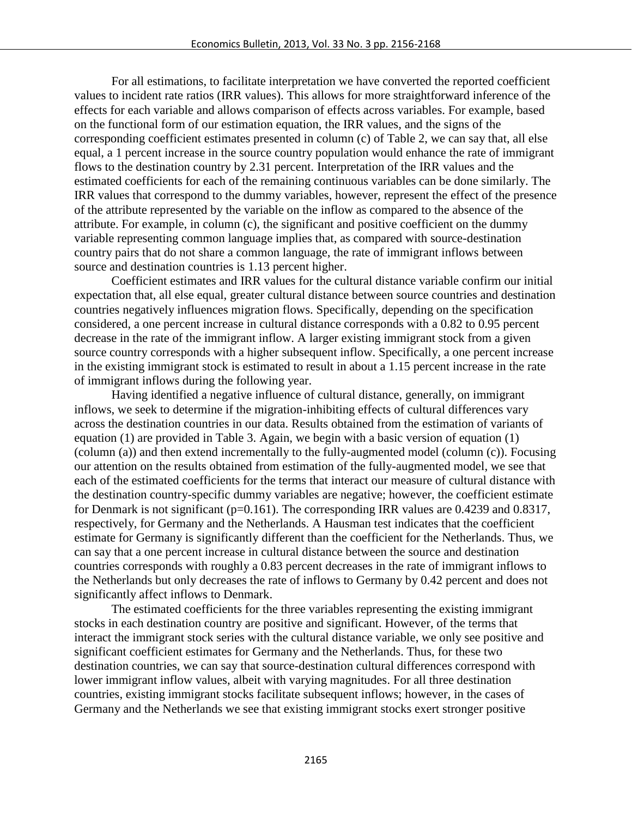For all estimations, to facilitate interpretation we have converted the reported coefficient values to incident rate ratios (IRR values). This allows for more straightforward inference of the effects for each variable and allows comparison of effects across variables. For example, based on the functional form of our estimation equation, the IRR values, and the signs of the corresponding coefficient estimates presented in column (c) of Table 2, we can say that, all else equal, a 1 percent increase in the source country population would enhance the rate of immigrant flows to the destination country by 2.31 percent. Interpretation of the IRR values and the estimated coefficients for each of the remaining continuous variables can be done similarly. The IRR values that correspond to the dummy variables, however, represent the effect of the presence of the attribute represented by the variable on the inflow as compared to the absence of the attribute. For example, in column (c), the significant and positive coefficient on the dummy variable representing common language implies that, as compared with source-destination country pairs that do not share a common language, the rate of immigrant inflows between source and destination countries is 1.13 percent higher.

Coefficient estimates and IRR values for the cultural distance variable confirm our initial expectation that, all else equal, greater cultural distance between source countries and destination countries negatively influences migration flows. Specifically, depending on the specification considered, a one percent increase in cultural distance corresponds with a 0.82 to 0.95 percent decrease in the rate of the immigrant inflow. A larger existing immigrant stock from a given source country corresponds with a higher subsequent inflow. Specifically, a one percent increase in the existing immigrant stock is estimated to result in about a 1.15 percent increase in the rate of immigrant inflows during the following year.

Having identified a negative influence of cultural distance, generally, on immigrant inflows, we seek to determine if the migration-inhibiting effects of cultural differences vary across the destination countries in our data. Results obtained from the estimation of variants of equation (1) are provided in Table 3. Again, we begin with a basic version of equation (1) (column (a)) and then extend incrementally to the fully-augmented model (column (c)). Focusing our attention on the results obtained from estimation of the fully-augmented model, we see that each of the estimated coefficients for the terms that interact our measure of cultural distance with the destination country-specific dummy variables are negative; however, the coefficient estimate for Denmark is not significant (p=0.161). The corresponding IRR values are 0.4239 and 0.8317, respectively, for Germany and the Netherlands. A Hausman test indicates that the coefficient estimate for Germany is significantly different than the coefficient for the Netherlands. Thus, we can say that a one percent increase in cultural distance between the source and destination countries corresponds with roughly a 0.83 percent decreases in the rate of immigrant inflows to the Netherlands but only decreases the rate of inflows to Germany by 0.42 percent and does not significantly affect inflows to Denmark.

The estimated coefficients for the three variables representing the existing immigrant stocks in each destination country are positive and significant. However, of the terms that interact the immigrant stock series with the cultural distance variable, we only see positive and significant coefficient estimates for Germany and the Netherlands. Thus, for these two destination countries, we can say that source-destination cultural differences correspond with lower immigrant inflow values, albeit with varying magnitudes. For all three destination countries, existing immigrant stocks facilitate subsequent inflows; however, in the cases of Germany and the Netherlands we see that existing immigrant stocks exert stronger positive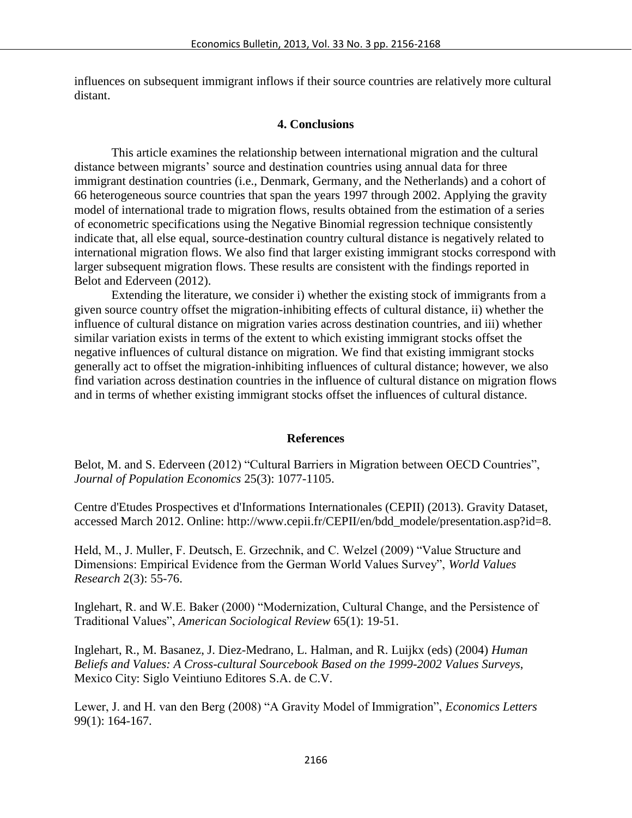influences on subsequent immigrant inflows if their source countries are relatively more cultural distant.

#### **4. Conclusions**

This article examines the relationship between international migration and the cultural distance between migrants' source and destination countries using annual data for three immigrant destination countries (i.e., Denmark, Germany, and the Netherlands) and a cohort of 66 heterogeneous source countries that span the years 1997 through 2002. Applying the gravity model of international trade to migration flows, results obtained from the estimation of a series of econometric specifications using the Negative Binomial regression technique consistently indicate that, all else equal, source-destination country cultural distance is negatively related to international migration flows. We also find that larger existing immigrant stocks correspond with larger subsequent migration flows. These results are consistent with the findings reported in Belot and Ederveen (2012).

Extending the literature, we consider i) whether the existing stock of immigrants from a given source country offset the migration-inhibiting effects of cultural distance, ii) whether the influence of cultural distance on migration varies across destination countries, and iii) whether similar variation exists in terms of the extent to which existing immigrant stocks offset the negative influences of cultural distance on migration. We find that existing immigrant stocks generally act to offset the migration-inhibiting influences of cultural distance; however, we also find variation across destination countries in the influence of cultural distance on migration flows and in terms of whether existing immigrant stocks offset the influences of cultural distance.

#### **References**

Belot, M. and S. Ederveen (2012) "Cultural Barriers in Migration between OECD Countries", *Journal of Population Economics* 25(3): 1077-1105.

Centre d'Etudes Prospectives et d'Informations Internationales (CEPII) (2013). Gravity Dataset, accessed March 2012. Online: http://www.cepii.fr/CEPII/en/bdd\_modele/presentation.asp?id=8.

Held, M., J. Muller, F. Deutsch, E. Grzechnik, and C. Welzel (2009) "Value Structure and Dimensions: Empirical Evidence from the German World Values Survey", *World Values Research* 2(3): 55-76.

Inglehart, R. and W.E. Baker (2000) "Modernization, Cultural Change, and the Persistence of Traditional Values", *American Sociological Review* 65(1): 19-51.

Inglehart, R., M. Basanez, J. Diez-Medrano, L. Halman, and R. Luijkx (eds) (2004) *Human Beliefs and Values: A Cross-cultural Sourcebook Based on the 1999-2002 Values Surveys*, Mexico City: Siglo Veintiuno Editores S.A. de C.V.

Lewer, J. and H. van den Berg (2008) "A Gravity Model of Immigration", *Economics Letters* 99(1): 164-167.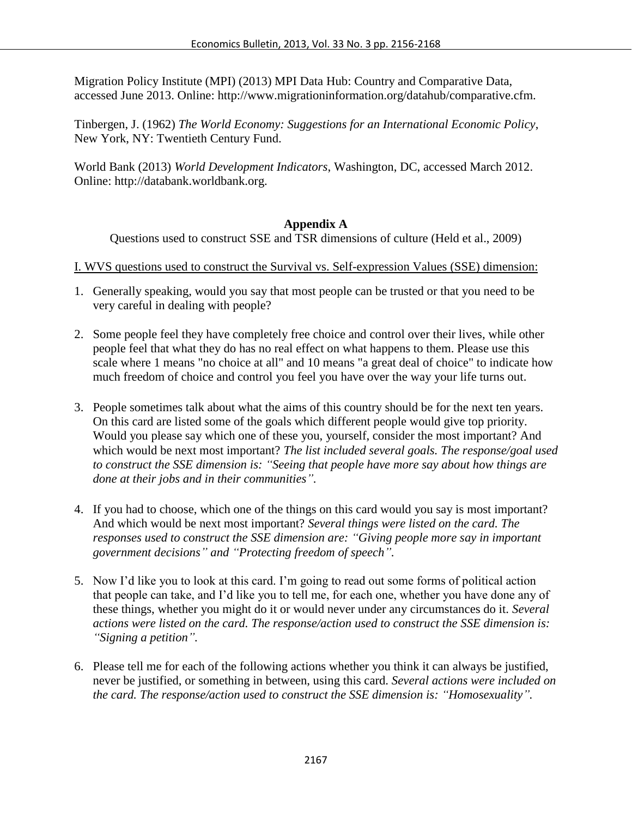Migration Policy Institute (MPI) (2013) MPI Data Hub: Country and Comparative Data, accessed June 2013. Online: http://www.migrationinformation.org/datahub/comparative.cfm.

Tinbergen, J. (1962) *The World Economy: Suggestions for an International Economic Policy*, New York, NY: Twentieth Century Fund.

World Bank (2013) *World Development Indicators*, Washington, DC, accessed March 2012. Online: http://databank.worldbank.org.

#### **Appendix A**

Questions used to construct SSE and TSR dimensions of culture (Held et al., 2009)

I. WVS questions used to construct the Survival vs. Self-expression Values (SSE) dimension:

- 1. Generally speaking, would you say that most people can be trusted or that you need to be very careful in dealing with people?
- 2. Some people feel they have completely free choice and control over their lives, while other people feel that what they do has no real effect on what happens to them. Please use this scale where 1 means "no choice at all" and 10 means "a great deal of choice" to indicate how much freedom of choice and control you feel you have over the way your life turns out.
- 3. People sometimes talk about what the aims of this country should be for the next ten years. On this card are listed some of the goals which different people would give top priority. Would you please say which one of these you, yourself, consider the most important? And which would be next most important? *The list included several goals. The response/goal used to construct the SSE dimension is: "Seeing that people have more say about how things are done at their jobs and in their communities".*
- 4. If you had to choose, which one of the things on this card would you say is most important? And which would be next most important? *Several things were listed on the card. The responses used to construct the SSE dimension are: "Giving people more say in important government decisions" and "Protecting freedom of speech".*
- 5. Now I'd like you to look at this card. I'm going to read out some forms of political action that people can take, and I'd like you to tell me, for each one, whether you have done any of these things, whether you might do it or would never under any circumstances do it. *Several actions were listed on the card. The response/action used to construct the SSE dimension is: "Signing a petition".*
- 6. Please tell me for each of the following actions whether you think it can always be justified, never be justified, or something in between, using this card. *Several actions were included on the card. The response/action used to construct the SSE dimension is: "Homosexuality".*